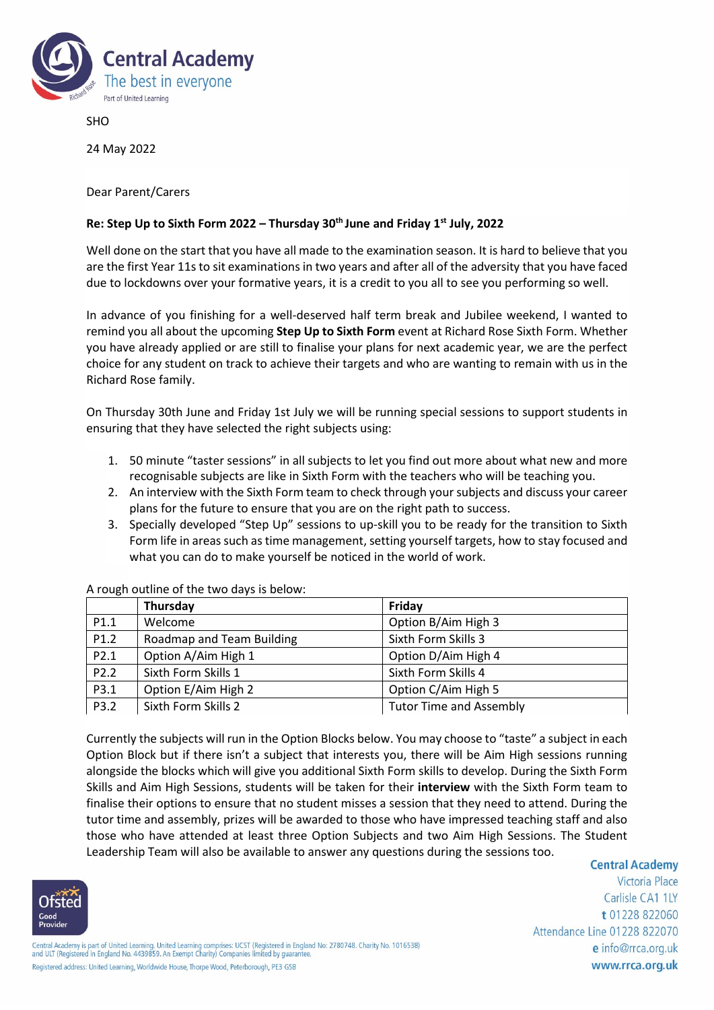

SHO

24 May 2022

Dear Parent/Carers

## **Re: Step Up to Sixth Form 2022 – Thursday 30th June and Friday 1st July, 2022**

Well done on the start that you have all made to the examination season. It is hard to believe that you are the first Year 11s to sit examinations in two years and after all of the adversity that you have faced due to lockdowns over your formative years, it is a credit to you all to see you performing so well.

In advance of you finishing for a well-deserved half term break and Jubilee weekend, I wanted to remind you all about the upcoming **Step Up to Sixth Form** event at Richard Rose Sixth Form. Whether you have already applied or are still to finalise your plans for next academic year, we are the perfect choice for any student on track to achieve their targets and who are wanting to remain with us in the Richard Rose family.

On Thursday 30th June and Friday 1st July we will be running special sessions to support students in ensuring that they have selected the right subjects using:

- 1. 50 minute "taster sessions" in all subjects to let you find out more about what new and more recognisable subjects are like in Sixth Form with the teachers who will be teaching you.
- 2. An interview with the Sixth Form team to check through your subjects and discuss your career plans for the future to ensure that you are on the right path to success.
- 3. Specially developed "Step Up" sessions to up-skill you to be ready for the transition to Sixth Form life in areas such as time management, setting yourself targets, how to stay focused and what you can do to make yourself be noticed in the world of work.

|      | Thursday                  | Friday                         |
|------|---------------------------|--------------------------------|
| P1.1 | Welcome                   | Option B/Aim High 3            |
| P1.2 | Roadmap and Team Building | Sixth Form Skills 3            |
| P2.1 | Option A/Aim High 1       | Option D/Aim High 4            |
| P2.2 | Sixth Form Skills 1       | Sixth Form Skills 4            |
| P3.1 | Option E/Aim High 2       | Option C/Aim High 5            |
| P3.2 | Sixth Form Skills 2       | <b>Tutor Time and Assembly</b> |

A rough outline of the two days is below:

Currently the subjects will run in the Option Blocks below. You may choose to "taste" a subject in each Option Block but if there isn't a subject that interests you, there will be Aim High sessions running alongside the blocks which will give you additional Sixth Form skills to develop. During the Sixth Form Skills and Aim High Sessions, students will be taken for their **interview** with the Sixth Form team to finalise their options to ensure that no student misses a session that they need to attend. During the tutor time and assembly, prizes will be awarded to those who have impressed teaching staff and also those who have attended at least three Option Subjects and two Aim High Sessions. The Student Leadership Team will also be available to answer any questions during the sessions too.



**Central Academy** 

Victoria Place Carlisle CA1 1LY t 01228 822060 Attendance Line 01228 822070 e info@rrca.org.uk www.rrca.org.uk

Central Academy is part of United Learning. United Learning comprises: UCST (Registered in England No: 2780748. Charity No. 1016538)<br>and ULT (Registered in England No. 4439859. An Exempt Charity) Companies limited by quara Registered address: United Learning, Worldwide House, Thorpe Wood, Peterborough, PE3 GSB